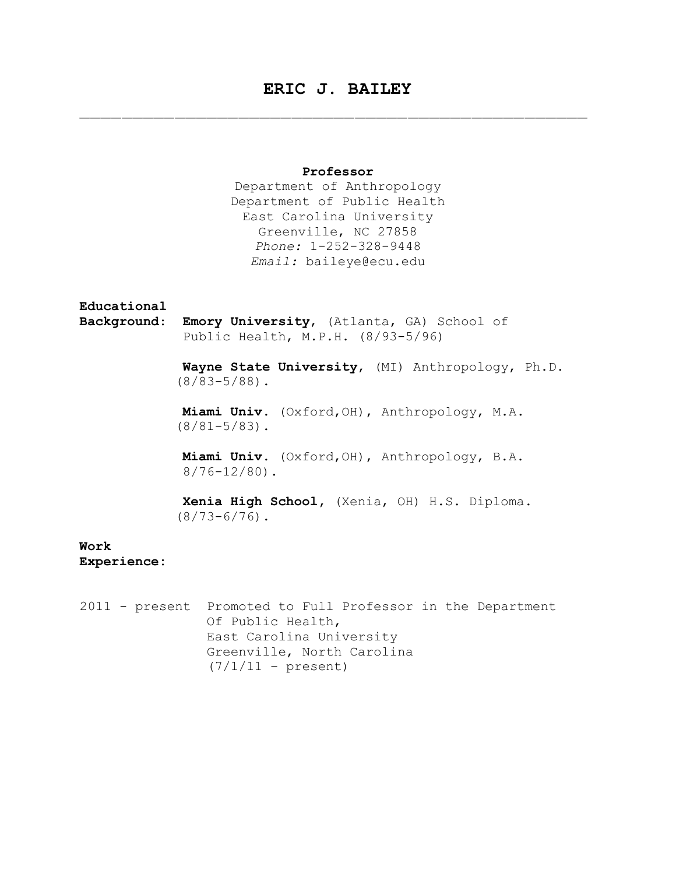# **Professor**

Department of Anthropology Department of Public Health East Carolina University Greenville, NC 27858 *Phone:* 1-252-328-9448 *Email:* baileye@ecu.edu

### **Educational**

**Background**: **Emory University**, (Atlanta, GA) School of Public Health, M.P.H. (8/93-5/96)

> **Wayne State University**, (MI) Anthropology, Ph.D. (8/83-5/88).

 **Miami Univ.** (Oxford,OH), Anthropology, M.A. (8/81-5/83).

 **Miami Univ.** (Oxford,OH), Anthropology, B.A. 8/76-12/80).

 **Xenia High School,** (Xenia, OH) H.S. Diploma.  $(8/73-6/76)$ .

# **Work Experience:**

2011 - present Promoted to Full Professor in the Department Of Public Health, East Carolina University Greenville, North Carolina (7/1/11 – present)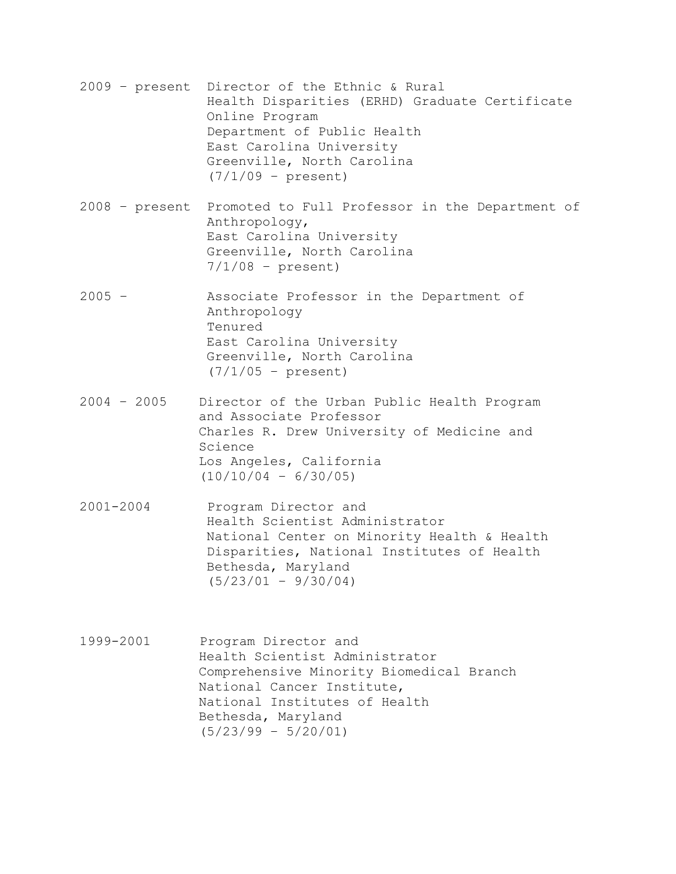- 2009 present Director of the Ethnic & Rural Health Disparities (ERHD) Graduate Certificate Online Program Department of Public Health East Carolina University Greenville, North Carolina (7/1/09 – present) 2008 – present Promoted to Full Professor in the Department of Anthropology, East Carolina University Greenville, North Carolina 7/1/08 – present) 2005 – Associate Professor in the Department of Anthropology Tenured East Carolina University Greenville, North Carolina (7/1/05 – present) 2004 – 2005 Director of the Urban Public Health Program and Associate Professor Charles R. Drew University of Medicine and Science Los Angeles, California (10/10/04 – 6/30/05) 2001-2004 Program Director and Health Scientist Administrator National Center on Minority Health & Health Disparities, National Institutes of Health Bethesda, Maryland (5/23/01 – 9/30/04)
- 1999-2001 Program Director and Health Scientist Administrator Comprehensive Minority Biomedical Branch National Cancer Institute, National Institutes of Health Bethesda, Maryland (5/23/99 – 5/20/01)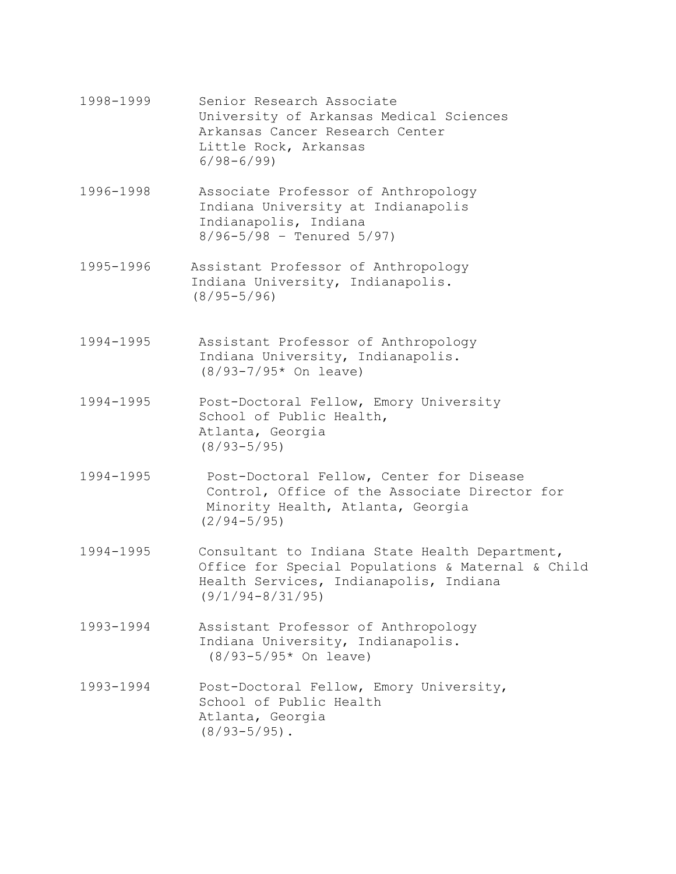- 1998-1999 Senior Research Associate University of Arkansas Medical Sciences Arkansas Cancer Research Center Little Rock, Arkansas 6/98-6/99)
- 1996-1998 Associate Professor of Anthropology Indiana University at Indianapolis Indianapolis, Indiana 8/96-5/98 – Tenured 5/97)
- 1995-1996 Assistant Professor of Anthropology Indiana University, Indianapolis. (8/95-5/96)
- 1994-1995 Assistant Professor of Anthropology Indiana University, Indianapolis. (8/93-7/95\* On leave)
- 1994-1995 Post-Doctoral Fellow, Emory University School of Public Health, Atlanta, Georgia (8/93-5/95)
- 1994-1995 Post-Doctoral Fellow, Center for Disease Control, Office of the Associate Director for Minority Health, Atlanta, Georgia (2/94-5/95)
- 1994-1995 Consultant to Indiana State Health Department, Office for Special Populations & Maternal & Child Health Services, Indianapolis, Indiana (9/1/94-8/31/95)
- 1993-1994 Assistant Professor of Anthropology Indiana University, Indianapolis. (8/93-5/95\* On leave)
- 1993-1994 Post-Doctoral Fellow, Emory University, School of Public Health Atlanta, Georgia  $(8/93 - 5/95)$ .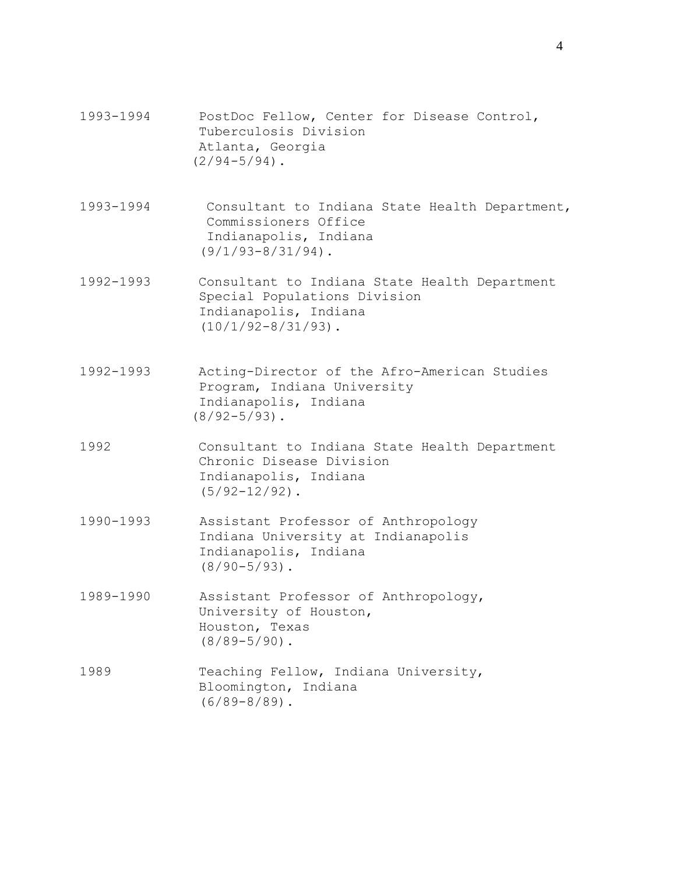- 1993-1994 PostDoc Fellow, Center for Disease Control, Tuberculosis Division Atlanta, Georgia  $(2/94-5/94)$ .
- 1993-1994 Consultant to Indiana State Health Department, Commissioners Office Indianapolis, Indiana (9/1/93-8/31/94).
- 1992-1993 Consultant to Indiana State Health Department Special Populations Division Indianapolis, Indiana (10/1/92-8/31/93).
- 1992-1993 Acting-Director of the Afro-American Studies Program, Indiana University Indianapolis, Indiana  $(8/92 - 5/93)$ .
- 1992 Consultant to Indiana State Health Department Chronic Disease Division Indianapolis, Indiana  $(5/92-12/92)$ .
- 1990-1993 Assistant Professor of Anthropology Indiana University at Indianapolis Indianapolis, Indiana (8/90-5/93).
- 1989-1990 Assistant Professor of Anthropology, University of Houston, Houston, Texas  $(8/89 - 5/90)$ .
- 1989 Teaching Fellow, Indiana University, Bloomington, Indiana (6/89-8/89).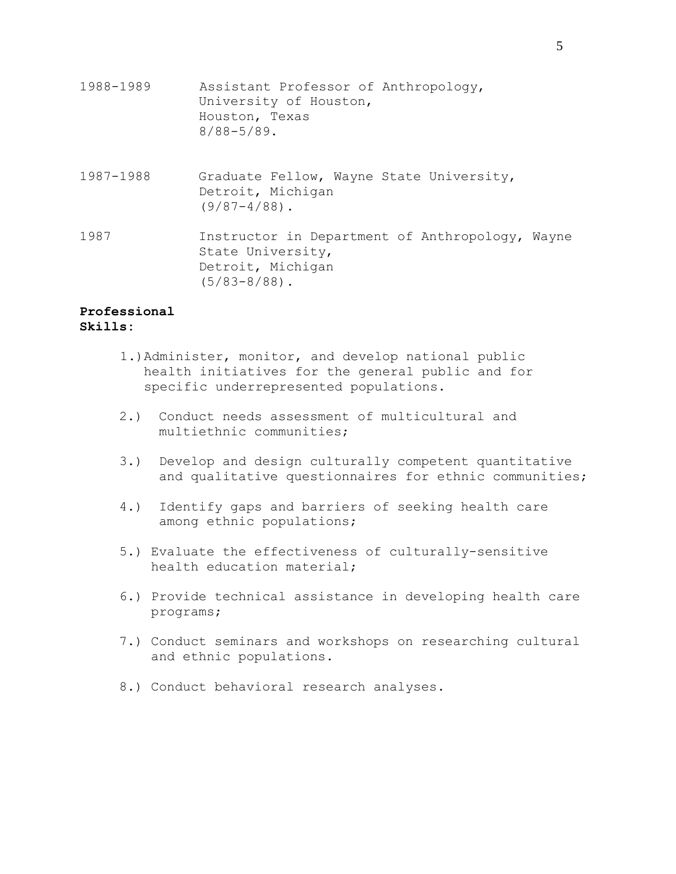- 1988-1989 Assistant Professor of Anthropology, University of Houston, Houston, Texas 8/88-5/89.
- 1987-1988 Graduate Fellow, Wayne State University, Detroit, Michigan  $(9/87-4/88)$ .

1987 Instructor in Department of Anthropology, Wayne State University, Detroit, Michigan (5/83-8/88).

### **Professional Skills:**

- 1.)Administer, monitor, and develop national public health initiatives for the general public and for specific underrepresented populations.
- 2.) Conduct needs assessment of multicultural and multiethnic communities;
- 3.) Develop and design culturally competent quantitative and qualitative questionnaires for ethnic communities;
- 4.) Identify gaps and barriers of seeking health care among ethnic populations;
- 5.) Evaluate the effectiveness of culturally-sensitive health education material;
- 6.) Provide technical assistance in developing health care programs;
- 7.) Conduct seminars and workshops on researching cultural and ethnic populations.
- 8.) Conduct behavioral research analyses.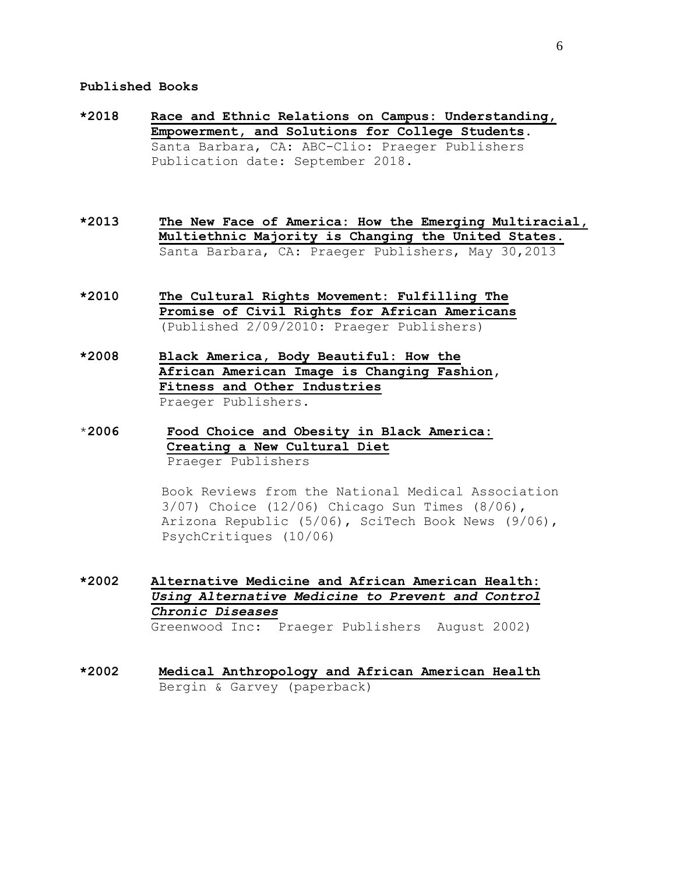### **Published Books**

- **\*2018 Race and Ethnic Relations on Campus: Understanding, Empowerment, and Solutions for College Students.** Santa Barbara, CA: ABC-Clio: Praeger Publishers Publication date: September 2018.
- **\*2013 The New Face of America: How the Emerging Multiracial, Multiethnic Majority is Changing the United States.** Santa Barbara, CA: Praeger Publishers, May 30,2013
- **\*2010 The Cultural Rights Movement: Fulfilling The Promise of Civil Rights for African Americans** (Published 2/09/2010: Praeger Publishers)
- **\*2008 Black America, Body Beautiful: How the African American Image is Changing Fashion, Fitness and Other Industries** Praeger Publishers.
- \***2006 Food Choice and Obesity in Black America: Creating a New Cultural Diet** Praeger Publishers

Book Reviews from the National Medical Association 3/07) Choice (12/06) Chicago Sun Times (8/06), Arizona Republic (5/06), SciTech Book News (9/06), PsychCritiques (10/06)

- **\*2002 Alternative Medicine and African American Health:** *Using Alternative Medicine to Prevent and Control Chronic Diseases* Greenwood Inc: Praeger Publishers August 2002)
- **\*2002 Medical Anthropology and African American Health** Bergin & Garvey (paperback)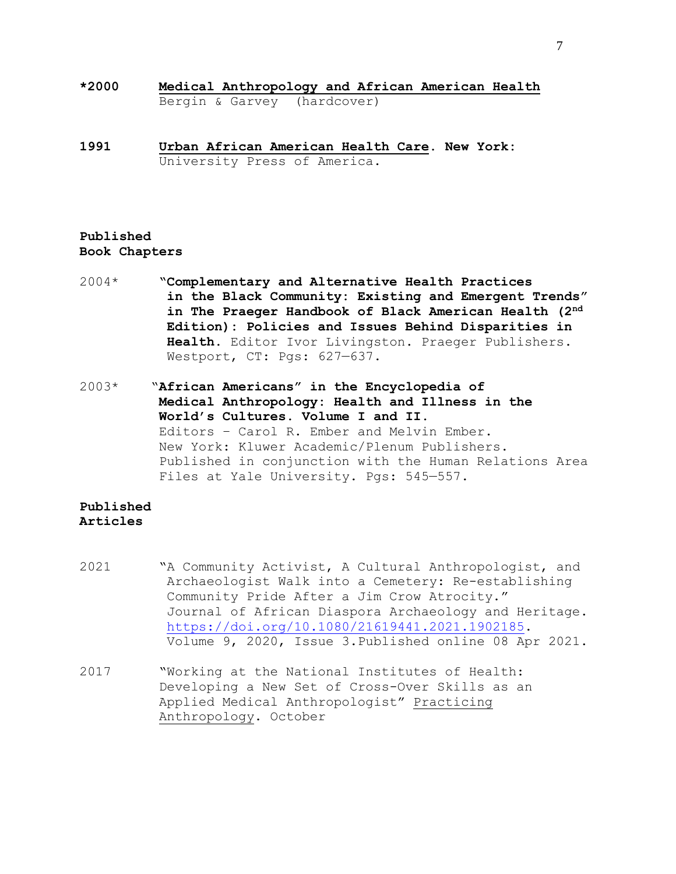- **\*2000 Medical Anthropology and African American Health** Bergin & Garvey (hardcover)
- **1991****Urban African American Health Care. New York:** University Press of America.

# **Published Book Chapters**

- 2004\* **"Complementary and Alternative Health Practices in the Black Community: Existing and Emergent Trends" in The Praeger Handbook of Black American Health (2nd Edition): Policies and Issues Behind Disparities in Health.** Editor Ivor Livingston. Praeger Publishers. Westport, CT: Pgs: 627—637.
- 2003\* "**African Americans" in the Encyclopedia of Medical Anthropology: Health and Illness in the World's Cultures. Volume I and II.** Editors - Carol R. Ember and Melvin Ember. New York: Kluwer Academic/Plenum Publishers. Published in conjunction with the Human Relations Area Files at Yale University. Pgs: 545—557.

# **Published Articles**

- 2021 "A Community Activist, A Cultural Anthropologist, and Archaeologist Walk into a Cemetery: Re-establishing Community Pride After a Jim Crow Atrocity." Journal of African Diaspora Archaeology and Heritage. [https://doi.org/10.1080/21619441.2021.1902185.](https://doi.org/10.1080/21619441.2021.1902185) Volume 9, 2020, Issue 3.Published online 08 Apr 2021.
- 2017 "Working at the National Institutes of Health: Developing a New Set of Cross-Over Skills as an Applied Medical Anthropologist" Practicing Anthropology. October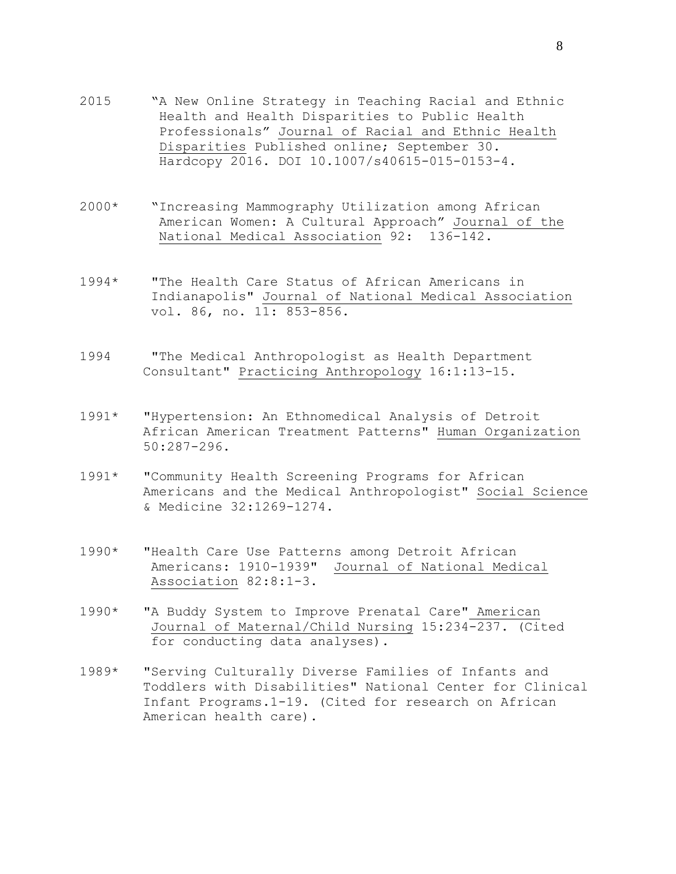- 2015 "A New Online Strategy in Teaching Racial and Ethnic Health and Health Disparities to Public Health Professionals" Journal of Racial and Ethnic Health Disparities Published online; September 30. Hardcopy 2016. DOI 10.1007/s40615-015-0153-4.
- 2000\* "Increasing Mammography Utilization among African American Women: A Cultural Approach" Journal of the National Medical Association 92: 136-142.
- 1994\* "The Health Care Status of African Americans in Indianapolis" Journal of National Medical Association vol. 86, no. 11: 853-856.
- 1994 "The Medical Anthropologist as Health Department Consultant" Practicing Anthropology 16:1:13-15.
- 1991\* "Hypertension: An Ethnomedical Analysis of Detroit African American Treatment Patterns" Human Organization 50:287-296.
- 1991\* "Community Health Screening Programs for African Americans and the Medical Anthropologist" Social Science & Medicine 32:1269-1274.
- 1990\* "Health Care Use Patterns among Detroit African Americans: 1910-1939" Journal of National Medical Association 82:8:1-3.
- 1990\* "A Buddy System to Improve Prenatal Care" American Journal of Maternal/Child Nursing 15:234-237. (Cited for conducting data analyses).
- 1989\* "Serving Culturally Diverse Families of Infants and Toddlers with Disabilities" National Center for Clinical Infant Programs.1-19. (Cited for research on African American health care).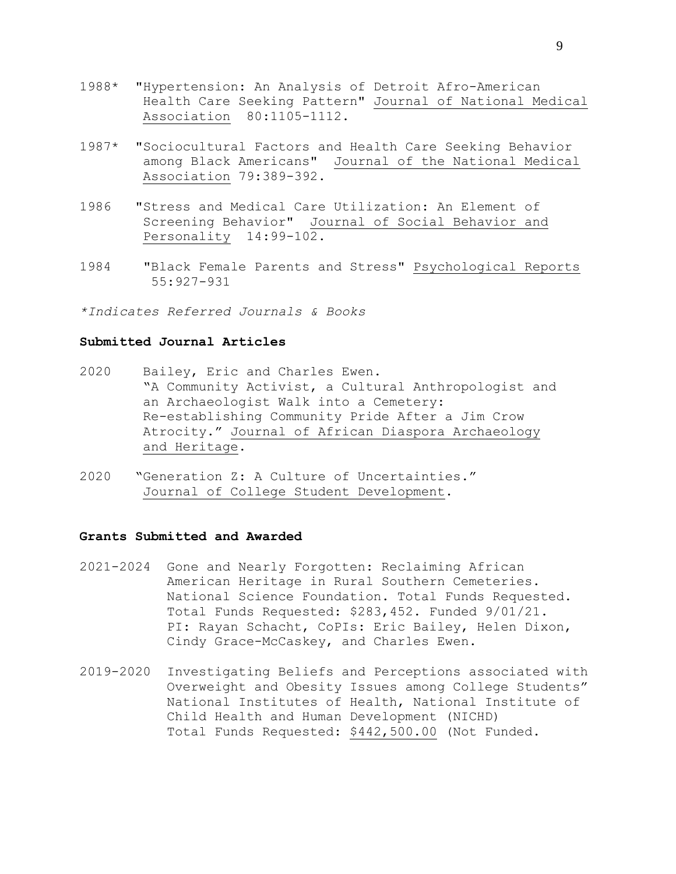- 1988\* "Hypertension: An Analysis of Detroit Afro-American Health Care Seeking Pattern" Journal of National Medical Association 80:1105-1112.
- 1987\* "Sociocultural Factors and Health Care Seeking Behavior among Black Americans" Journal of the National Medical Association 79:389-392.
- 1986 "Stress and Medical Care Utilization: An Element of Screening Behavior" Journal of Social Behavior and Personality 14:99-102.
- 1984 "Black Female Parents and Stress" Psychological Reports 55:927-931

*\*Indicates Referred Journals & Books*

#### **Submitted Journal Articles**

- 2020 Bailey, Eric and Charles Ewen. "A Community Activist, a Cultural Anthropologist and an Archaeologist Walk into a Cemetery: Re-establishing Community Pride After a Jim Crow Atrocity." Journal of African Diaspora Archaeology and Heritage.
- 2020 "Generation Z: A Culture of Uncertainties." Journal of College Student Development.

#### **Grants Submitted and Awarded**

- 2021-2024 Gone and Nearly Forgotten: Reclaiming African American Heritage in Rural Southern Cemeteries. National Science Foundation. Total Funds Requested. Total Funds Requested: \$283,452. Funded 9/01/21. PI: Rayan Schacht, CoPIs: Eric Bailey, Helen Dixon, Cindy Grace-McCaskey, and Charles Ewen.
- 2019-2020 Investigating Beliefs and Perceptions associated with Overweight and Obesity Issues among College Students" National Institutes of Health, National Institute of Child Health and Human Development (NICHD) Total Funds Requested: \$442,500.00 (Not Funded.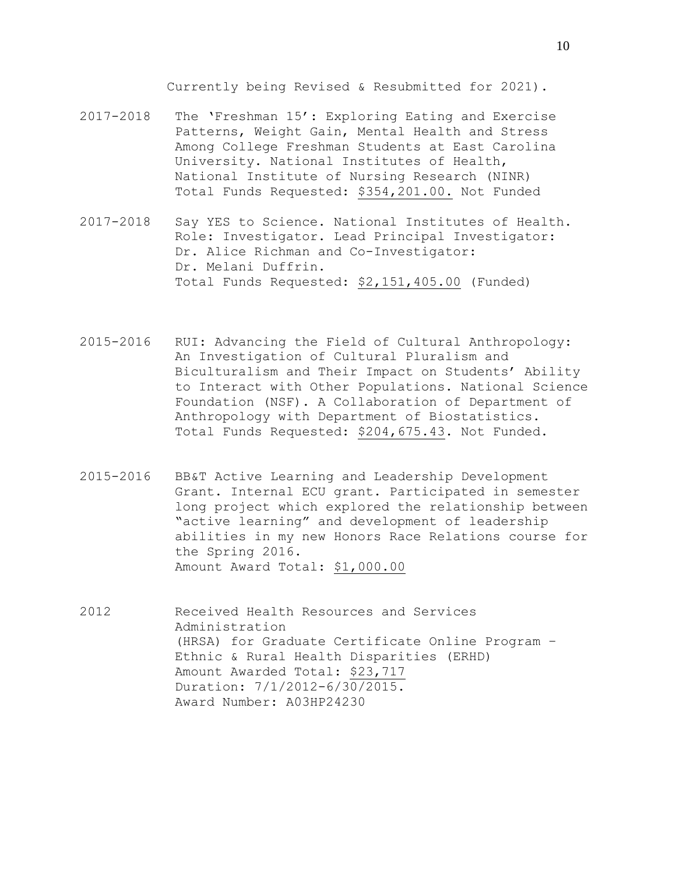Currently being Revised & Resubmitted for 2021).

- 2017-2018 The 'Freshman 15': Exploring Eating and Exercise Patterns, Weight Gain, Mental Health and Stress Among College Freshman Students at East Carolina University. National Institutes of Health, National Institute of Nursing Research (NINR) Total Funds Requested: \$354,201.00. Not Funded
- 2017-2018 Say YES to Science. National Institutes of Health. Role: Investigator. Lead Principal Investigator: Dr. Alice Richman and Co-Investigator: Dr. Melani Duffrin. Total Funds Requested: \$2,151,405.00 (Funded)
- 2015-2016 RUI: Advancing the Field of Cultural Anthropology: An Investigation of Cultural Pluralism and Biculturalism and Their Impact on Students' Ability to Interact with Other Populations. National Science Foundation (NSF). A Collaboration of Department of Anthropology with Department of Biostatistics. Total Funds Requested: \$204,675.43. Not Funded.
- 2015-2016 BB&T Active Learning and Leadership Development Grant. Internal ECU grant. Participated in semester long project which explored the relationship between "active learning" and development of leadership abilities in my new Honors Race Relations course for the Spring 2016. Amount Award Total: \$1,000.00
- 2012 Received Health Resources and Services Administration (HRSA) for Graduate Certificate Online Program – Ethnic & Rural Health Disparities (ERHD) Amount Awarded Total: \$23,717 Duration: 7/1/2012-6/30/2015. Award Number: A03HP24230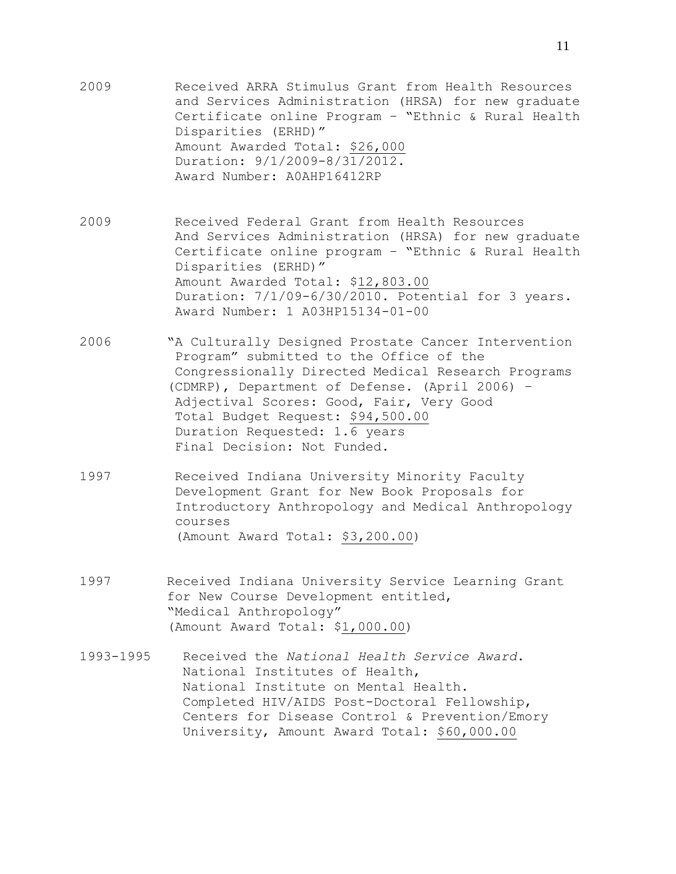- 2009 Received ARRA Stimulus Grant from Health Resources and Services Administration (HRSA) for new graduate Certificate online Program – "Ethnic & Rural Health Disparities (ERHD)" Amount Awarded Total: \$26,000 Duration: 9/1/2009-8/31/2012. Award Number: A0AHP16412RP
- 2009 Received Federal Grant from Health Resources And Services Administration (HRSA) for new graduate Certificate online program – "Ethnic & Rural Health Disparities (ERHD)" Amount Awarded Total: \$12,803.00 Duration: 7/1/09-6/30/2010. Potential for 3 years. Award Number: 1 A03HP15134-01-00
- 2006 "A Culturally Designed Prostate Cancer Intervention Program" submitted to the Office of the Congressionally Directed Medical Research Programs (CDMRP), Department of Defense. (April 2006) – Adjectival Scores: Good, Fair, Very Good Total Budget Request: \$94,500.00 Duration Requested: 1.6 years Final Decision: Not Funded.
- 1997 Received Indiana University Minority Faculty Development Grant for New Book Proposals for Introductory Anthropology and Medical Anthropology courses (Amount Award Total: \$3,200.00)
- 1997 Received Indiana University Service Learning Grant for New Course Development entitled, "Medical Anthropology" (Amount Award Total: \$1,000.00)
- 1993-1995 Received the *National Health Service Award*. National Institutes of Health, National Institute on Mental Health. Completed HIV/AIDS Post-Doctoral Fellowship, Centers for Disease Control & Prevention/Emory University, Amount Award Total: \$60,000.00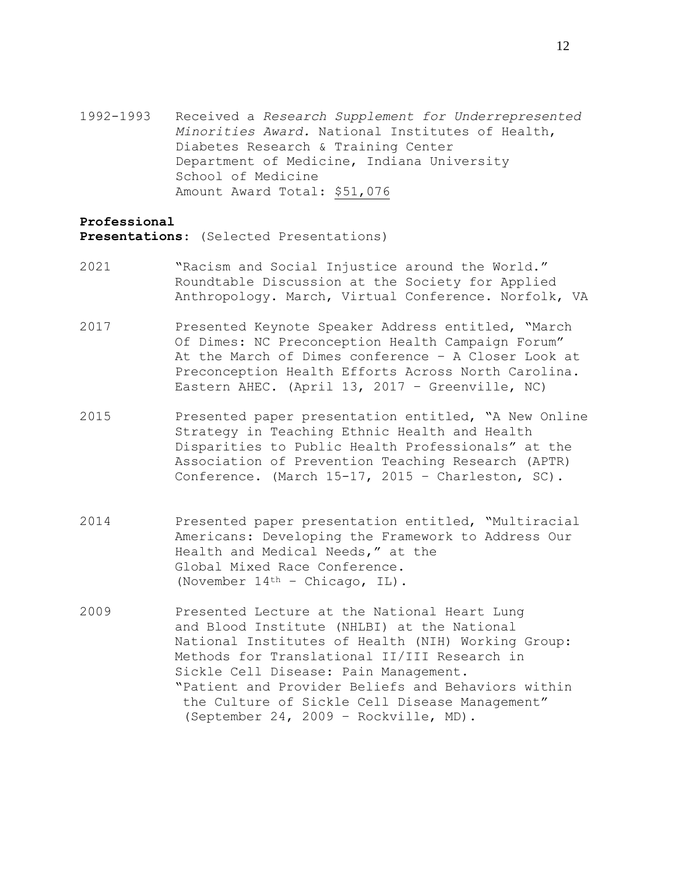1992-1993 Received a *Research Supplement for Underrepresented Minorities Award.* National Institutes of Health, Diabetes Research & Training Center Department of Medicine, Indiana University School of Medicine Amount Award Total: \$51,076

### **Professional**

**Presentations**: (Selected Presentations)

- 2021 "Racism and Social Injustice around the World." Roundtable Discussion at the Society for Applied Anthropology. March, Virtual Conference. Norfolk, VA
- 2017 Presented Keynote Speaker Address entitled, "March Of Dimes: NC Preconception Health Campaign Forum" At the March of Dimes conference – A Closer Look at Preconception Health Efforts Across North Carolina. Eastern AHEC. (April 13, 2017 – Greenville, NC)
- 2015 Presented paper presentation entitled, "A New Online Strategy in Teaching Ethnic Health and Health Disparities to Public Health Professionals" at the Association of Prevention Teaching Research (APTR) Conference. (March 15-17, 2015 – Charleston, SC).
- 2014 Presented paper presentation entitled, "Multiracial Americans: Developing the Framework to Address Our Health and Medical Needs," at the Global Mixed Race Conference. (November 14th – Chicago, IL).
- 2009 Presented Lecture at the National Heart Lung and Blood Institute (NHLBI) at the National National Institutes of Health (NIH) Working Group: Methods for Translational II/III Research in Sickle Cell Disease: Pain Management. "Patient and Provider Beliefs and Behaviors within the Culture of Sickle Cell Disease Management" (September 24, 2009 – Rockville, MD).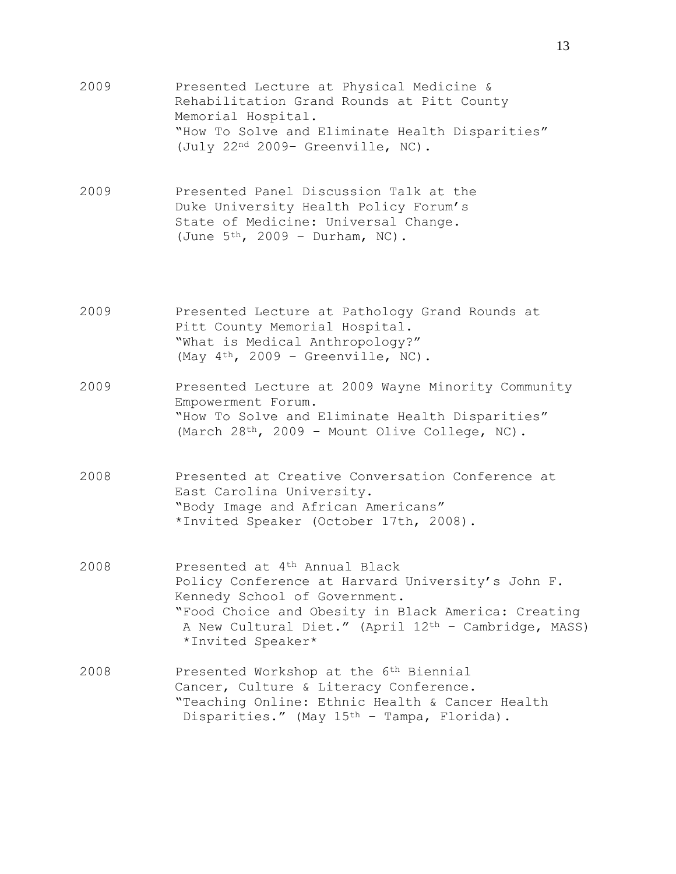2009 Presented Lecture at Physical Medicine & Rehabilitation Grand Rounds at Pitt County Memorial Hospital. "How To Solve and Eliminate Health Disparities" (July 22nd 2009– Greenville, NC). 2009 Presented Panel Discussion Talk at the Duke University Health Policy Forum's State of Medicine: Universal Change. (June  $5<sup>th</sup>$ , 2009 - Durham, NC). 2009 Presented Lecture at Pathology Grand Rounds at Pitt County Memorial Hospital. "What is Medical Anthropology?" (May  $4<sup>th</sup>$ , 2009 - Greenville, NC). 2009 Presented Lecture at 2009 Wayne Minority Community Empowerment Forum. "How To Solve and Eliminate Health Disparities" (March 28th, 2009 – Mount Olive College, NC). 2008 Presented at Creative Conversation Conference at East Carolina University. "Body Image and African Americans" \*Invited Speaker (October 17th, 2008). 2008 Presented at 4th Annual Black Policy Conference at Harvard University's John F. Kennedy School of Government. "Food Choice and Obesity in Black America: Creating A New Cultural Diet." (April 12th – Cambridge, MASS) \*Invited Speaker\* 2008 Presented Workshop at the 6th Biennial Cancer, Culture & Literacy Conference. "Teaching Online: Ethnic Health & Cancer Health Disparities." (May 15<sup>th</sup> - Tampa, Florida).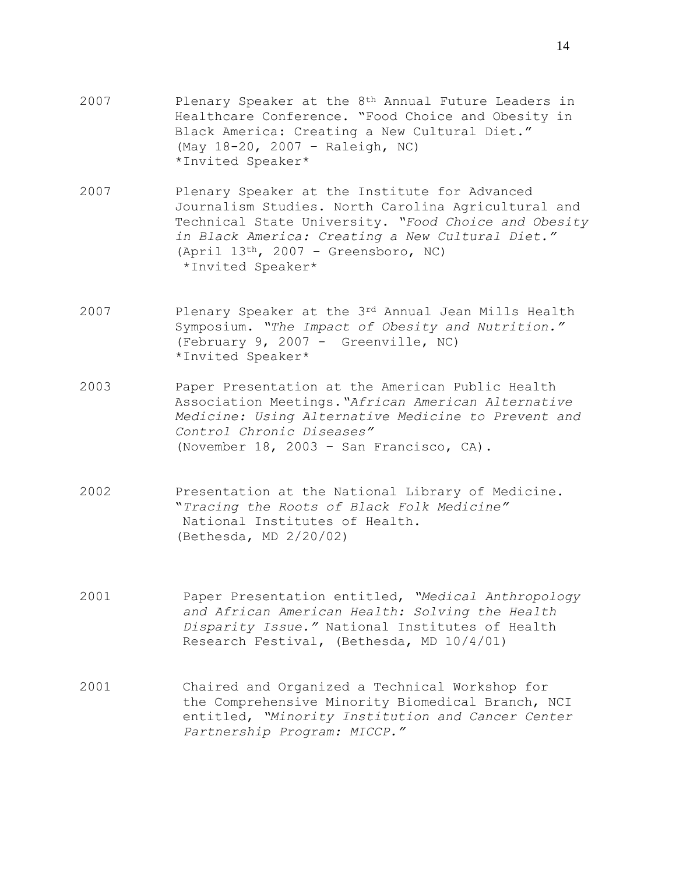- 2007 Plenary Speaker at the  $8<sup>th</sup>$  Annual Future Leaders in Healthcare Conference. "Food Choice and Obesity in Black America: Creating a New Cultural Diet." (May 18-20, 2007 – Raleigh, NC) \*Invited Speaker\*
- 2007 Plenary Speaker at the Institute for Advanced Journalism Studies. North Carolina Agricultural and Technical State University. *"Food Choice and Obesity in Black America: Creating a New Cultural Diet."* (April 13th, 2007 – Greensboro, NC) \*Invited Speaker\*
- 2007 Plenary Speaker at the 3rd Annual Jean Mills Health Symposium. *"The Impact of Obesity and Nutrition."* (February 9, 2007 - Greenville, NC) \*Invited Speaker\*
- 2003 Paper Presentation at the American Public Health Association Meetings.*"African American Alternative Medicine: Using Alternative Medicine to Prevent and Control Chronic Diseases"* (November 18, 2003 – San Francisco, CA).
- 2002 Presentation at the National Library of Medicine. "*Tracing the Roots of Black Folk Medicine"* National Institutes of Health. (Bethesda, MD 2/20/02)
- 2001 Paper Presentation entitled, *"Medical Anthropology and African American Health: Solving the Health Disparity Issue."* National Institutes of Health Research Festival, (Bethesda, MD 10/4/01)
- 2001 Chaired and Organized a Technical Workshop for the Comprehensive Minority Biomedical Branch, NCI entitled, *"Minority Institution and Cancer Center Partnership Program: MICCP."*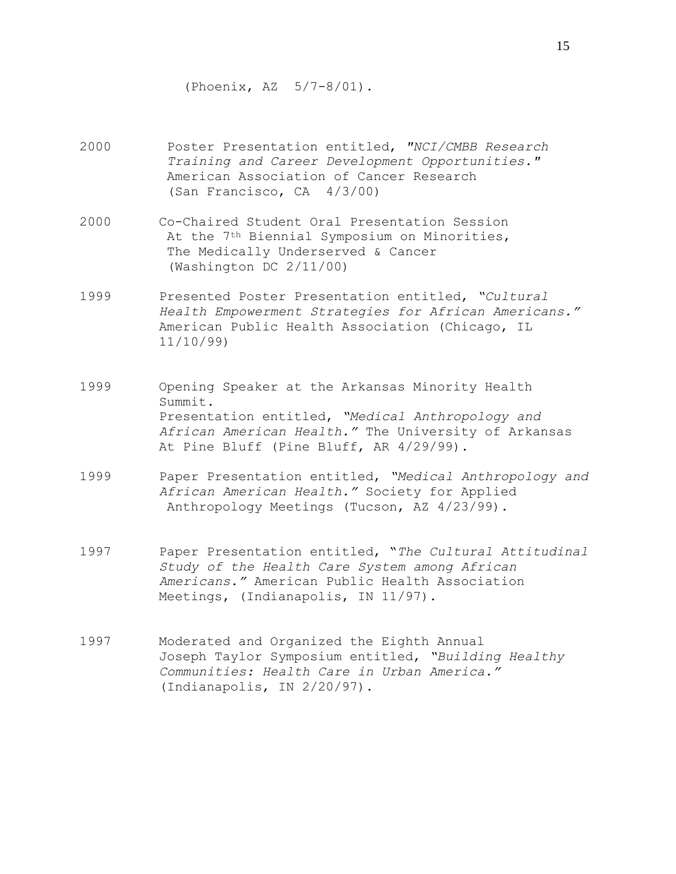(Phoenix, AZ 5/7-8/01).

- 2000 Poster Presentation entitled, *"NCI/CMBB Research Training and Career Development Opportunities."* American Association of Cancer Research (San Francisco, CA 4/3/00)
- 2000 Co-Chaired Student Oral Presentation Session At the 7<sup>th</sup> Biennial Symposium on Minorities, The Medically Underserved & Cancer (Washington DC 2/11/00)
- 1999 Presented Poster Presentation entitled, *"Cultural Health Empowerment Strategies for African Americans."*  American Public Health Association (Chicago, IL 11/10/99)
- 1999 Opening Speaker at the Arkansas Minority Health Summit. Presentation entitled, *"Medical Anthropology and African American Health."* The University of Arkansas At Pine Bluff (Pine Bluff, AR 4/29/99).
- 1999 Paper Presentation entitled, *"Medical Anthropology and African American Health."* Society for Applied Anthropology Meetings (Tucson, AZ 4/23/99).
- 1997 Paper Presentation entitled, "*The Cultural Attitudinal Study of the Health Care System among African Americans."* American Public Health Association Meetings, (Indianapolis, IN 11/97).
- 1997 Moderated and Organized the Eighth Annual Joseph Taylor Symposium entitled, *"Building Healthy Communities: Health Care in Urban America."* (Indianapolis, IN 2/20/97).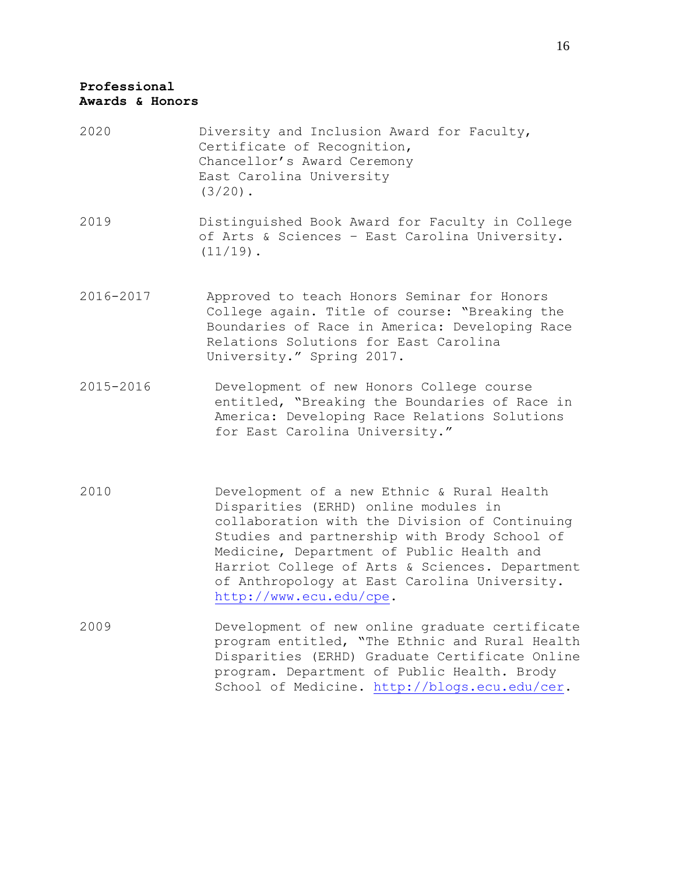# **Professional Awards & Honors**

- 2020 Diversity and Inclusion Award for Faculty, Certificate of Recognition, Chancellor's Award Ceremony East Carolina University  $(3/20)$ .
- 2019 Distinguished Book Award for Faculty in College of Arts & Sciences – East Carolina University.  $(11/19)$ .
- 2016-2017 Approved to teach Honors Seminar for Honors College again. Title of course: "Breaking the Boundaries of Race in America: Developing Race Relations Solutions for East Carolina University." Spring 2017.
- 2015-2016 Development of new Honors College course entitled, "Breaking the Boundaries of Race in America: Developing Race Relations Solutions for East Carolina University."
- 2010 Development of a new Ethnic & Rural Health Disparities (ERHD) online modules in collaboration with the Division of Continuing Studies and partnership with Brody School of Medicine, Department of Public Health and Harriot College of Arts & Sciences. Department of Anthropology at East Carolina University. [http://www.ecu.edu/cpe.](http://www.ecu.edu/cpe)
- 2009 Development of new online graduate certificate program entitled, "The Ethnic and Rural Health Disparities (ERHD) Graduate Certificate Online program. Department of Public Health. Brody School of Medicine. [http://blogs.ecu.edu/cer.](http://blogs.ecu.edu/cer)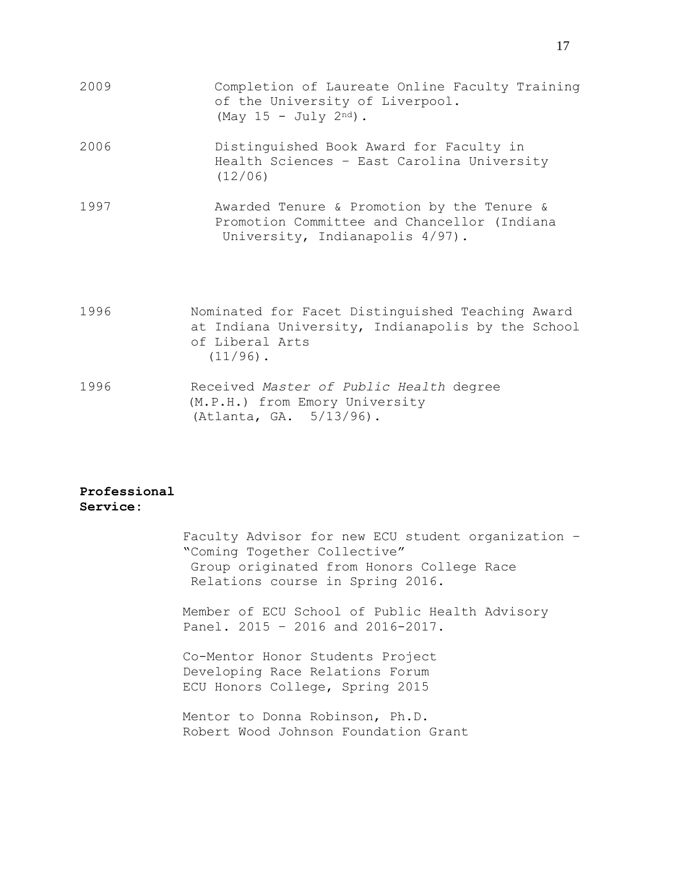| 2009 | Completion of Laureate Online Faculty Training<br>of the University of Liverpool.<br>(May 15 - July $2^{nd}$ ).                         |
|------|-----------------------------------------------------------------------------------------------------------------------------------------|
| 2006 | Distinguished Book Award for Faculty in<br>Health Sciences - East Carolina University<br>(12/06)                                        |
| 1997 | Awarded Tenure & Promotion by the Tenure &<br>Promotion Committee and Chancellor (Indiana<br>University, Indianapolis 4/97).            |
| 1996 | Nominated for Facet Distinguished Teaching Award<br>at Indiana University, Indianapolis by the School<br>of Liberal Arts<br>$(11/96)$ . |
| 1996 | Received Master of Public Health degree<br>(M.P.H.) from Emory University                                                               |

### **Professional Service:**

Faculty Advisor for new ECU student organization – "Coming Together Collective" Group originated from Honors College Race Relations course in Spring 2016.

Member of ECU School of Public Health Advisory Panel. 2015 – 2016 and 2016-2017.

Co-Mentor Honor Students Project Developing Race Relations Forum ECU Honors College, Spring 2015

(Atlanta, GA. 5/13/96).

Mentor to Donna Robinson, Ph.D. Robert Wood Johnson Foundation Grant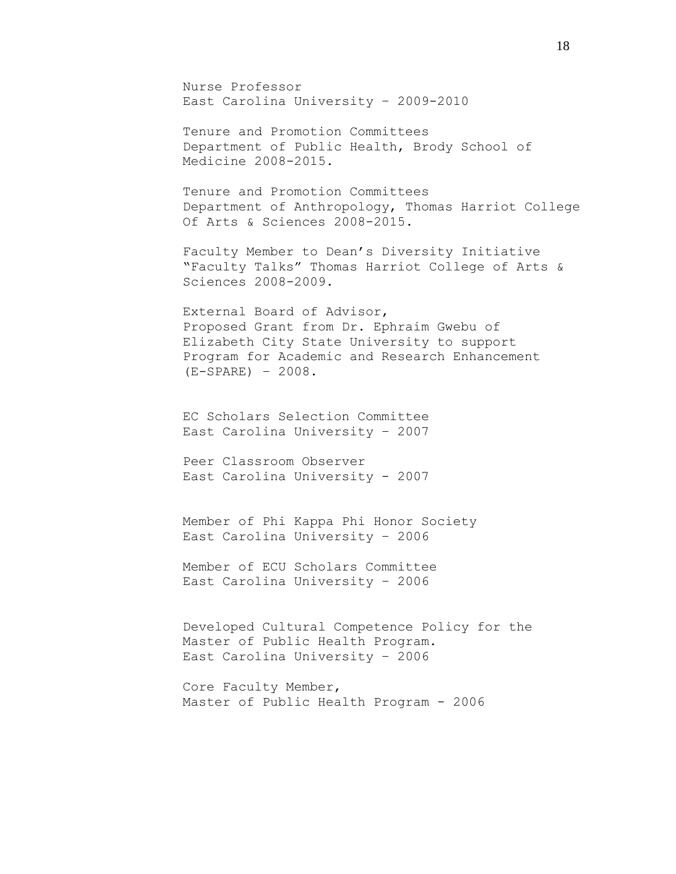Nurse Professor East Carolina University – 2009-2010

 Tenure and Promotion Committees Department of Public Health, Brody School of Medicine 2008-2015.

 Tenure and Promotion Committees Department of Anthropology, Thomas Harriot College Of Arts & Sciences 2008-2015.

 Faculty Member to Dean's Diversity Initiative "Faculty Talks" Thomas Harriot College of Arts & Sciences 2008-2009.

 External Board of Advisor, Proposed Grant from Dr. Ephraim Gwebu of Elizabeth City State University to support Program for Academic and Research Enhancement (E-SPARE) – 2008.

EC Scholars Selection Committee East Carolina University – 2007

 Peer Classroom Observer East Carolina University - 2007

Member of Phi Kappa Phi Honor Society East Carolina University – 2006

 Member of ECU Scholars Committee East Carolina University – 2006

 Developed Cultural Competence Policy for the Master of Public Health Program. East Carolina University – 2006

 Core Faculty Member, Master of Public Health Program - 2006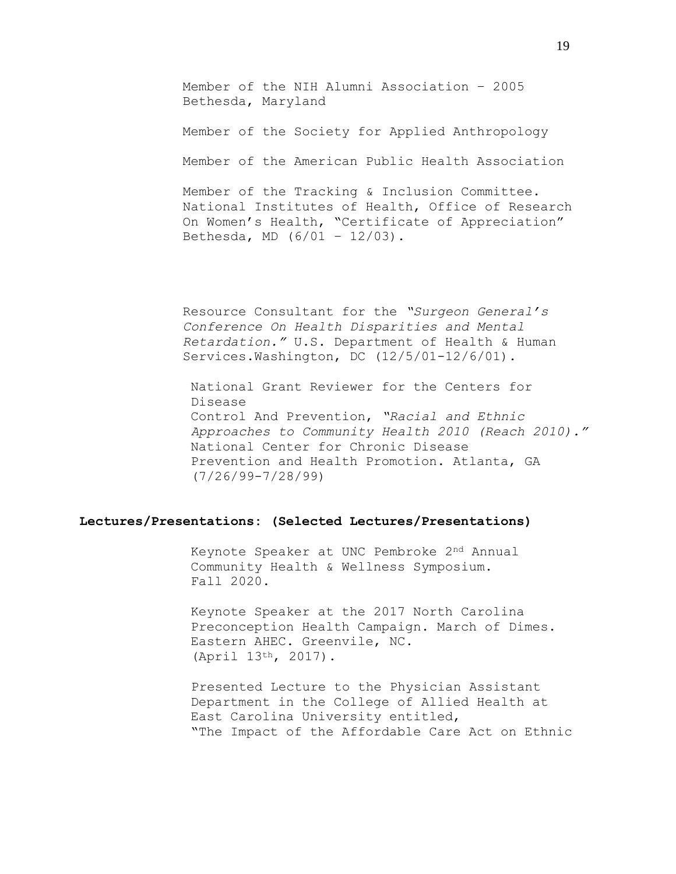Member of the NIH Alumni Association – 2005 Bethesda, Maryland

Member of the Society for Applied Anthropology

Member of the American Public Health Association

Member of the Tracking & Inclusion Committee. National Institutes of Health, Office of Research On Women's Health, "Certificate of Appreciation" Bethesda, MD (6/01 – 12/03).

Resource Consultant for the *"Surgeon General's Conference On Health Disparities and Mental Retardation."* U.S. Department of Health & Human Services.Washington, DC (12/5/01-12/6/01).

National Grant Reviewer for the Centers for Disease Control And Prevention, *"Racial and Ethnic Approaches to Community Health 2010 (Reach 2010)."* National Center for Chronic Disease Prevention and Health Promotion. Atlanta, GA (7/26/99-7/28/99)

#### **Lectures/Presentations: (Selected Lectures/Presentations)**

Keynote Speaker at UNC Pembroke 2nd Annual Community Health & Wellness Symposium. Fall 2020.

Keynote Speaker at the 2017 North Carolina Preconception Health Campaign. March of Dimes. Eastern AHEC. Greenvile, NC. (April 13th, 2017).

Presented Lecture to the Physician Assistant Department in the College of Allied Health at East Carolina University entitled, "The Impact of the Affordable Care Act on Ethnic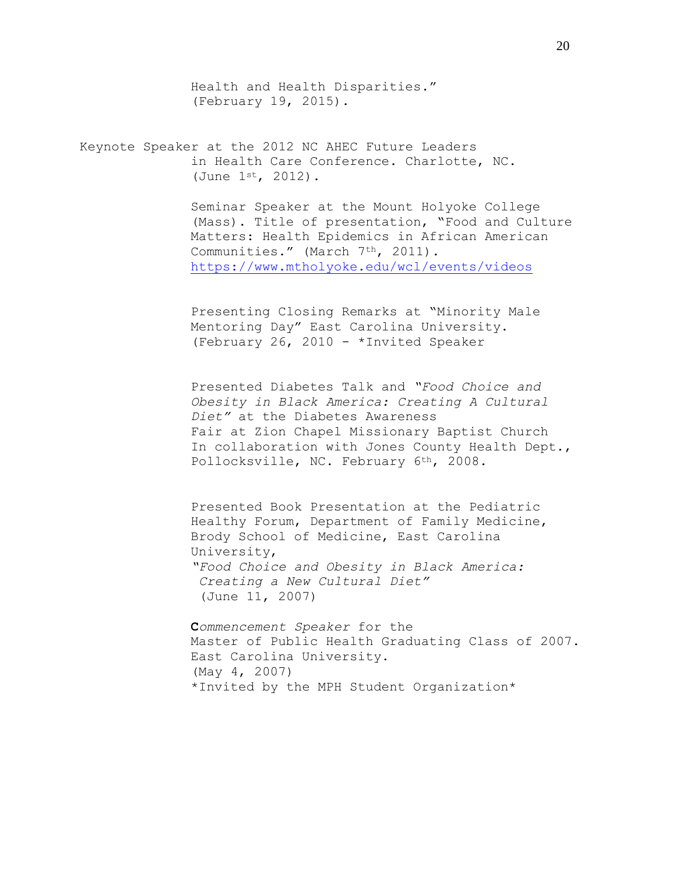Health and Health Disparities." (February 19, 2015).

Keynote Speaker at the 2012 NC AHEC Future Leaders in Health Care Conference. Charlotte, NC. (June 1st, 2012).

> Seminar Speaker at the Mount Holyoke College (Mass). Title of presentation, "Food and Culture Matters: Health Epidemics in African American Communities." (March 7<sup>th</sup>, 2011). <https://www.mtholyoke.edu/wcl/events/videos>

Presenting Closing Remarks at "Minority Male Mentoring Day" East Carolina University. (February 26, 2010 - \*Invited Speaker

Presented Diabetes Talk and *"Food Choice and Obesity in Black America: Creating A Cultural Diet"* at the Diabetes Awareness Fair at Zion Chapel Missionary Baptist Church In collaboration with Jones County Health Dept., Pollocksville, NC. February 6th, 2008.

Presented Book Presentation at the Pediatric Healthy Forum, Department of Family Medicine, Brody School of Medicine, East Carolina University, *"Food Choice and Obesity in Black America: Creating a New Cultural Diet"* (June 11, 2007)

 **C***ommencement Speaker* for the Master of Public Health Graduating Class of 2007. East Carolina University. (May 4, 2007) \*Invited by the MPH Student Organization\*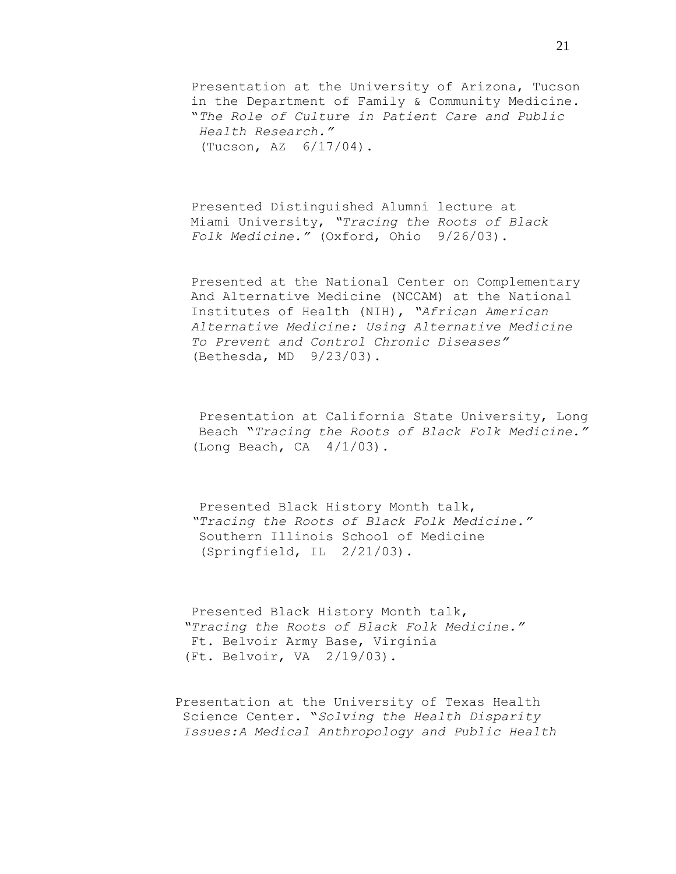Presentation at the University of Arizona, Tucson in the Department of Family & Community Medicine. "*The Role of Culture in Patient Care and Public Health Research."* (Tucson, AZ 6/17/04).

 Presented Distinguished Alumni lecture at Miami University, *"Tracing the Roots of Black Folk Medicine."* (Oxford, Ohio 9/26/03).

 Presented at the National Center on Complementary And Alternative Medicine (NCCAM) at the National Institutes of Health (NIH), *"African American Alternative Medicine: Using Alternative Medicine To Prevent and Control Chronic Diseases"* (Bethesda, MD 9/23/03).

 Presentation at California State University, Long Beach "*Tracing the Roots of Black Folk Medicine."* (Long Beach, CA 4/1/03).

 Presented Black History Month talk, *"Tracing the Roots of Black Folk Medicine."* Southern Illinois School of Medicine (Springfield, IL 2/21/03).

 Presented Black History Month talk, *"Tracing the Roots of Black Folk Medicine."* Ft. Belvoir Army Base, Virginia (Ft. Belvoir, VA 2/19/03).

 Presentation at the University of Texas Health Science Center. "*Solving the Health Disparity Issues:A Medical Anthropology and Public Health*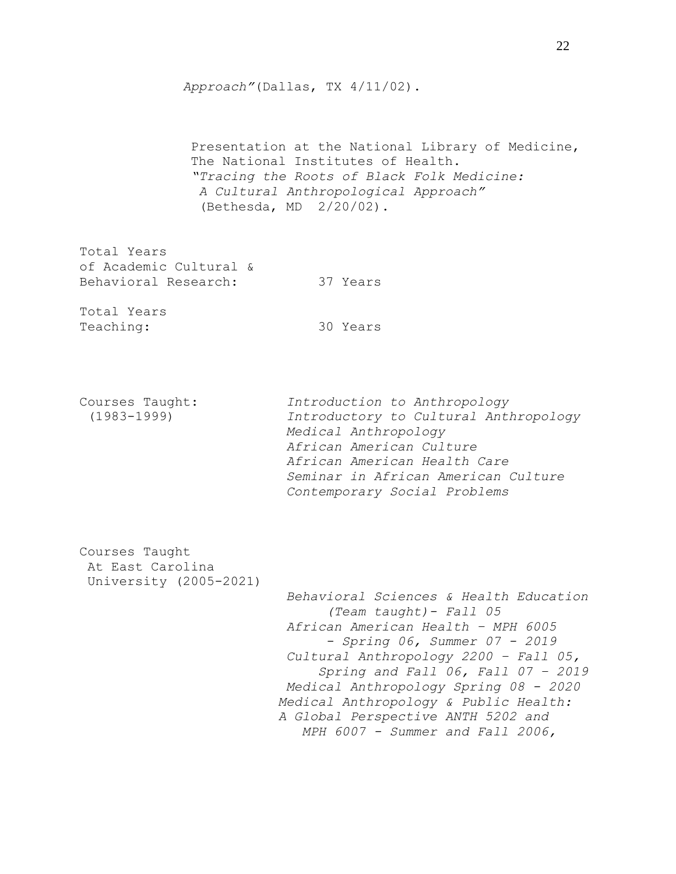# *Approach"*(Dallas, TX 4/11/02).

 Presentation at the National Library of Medicine, The National Institutes of Health. *"Tracing the Roots of Black Folk Medicine: A Cultural Anthropological Approach"* (Bethesda, MD 2/20/02).

Total Years of Academic Cultural & Behavioral Research: 37 Years

Total Years Teaching: 30 Years

Courses Taught: *Introduction to Anthropology* (1983-1999) *Introductory to Cultural Anthropology Medical Anthropology African American Culture African American Health Care Seminar in African American Culture Contemporary Social Problems*

Courses Taught At East Carolina University (2005-2021)

> *Behavioral Sciences & Health Education (Team taught)- Fall 05 African American Health – MPH 6005 - Spring 06, Summer 07 - 2019 Cultural Anthropology 2200 – Fall 05, Spring and Fall 06, Fall 07 – 2019 Medical Anthropology Spring 08 - 2020 Medical Anthropology & Public Health: A Global Perspective ANTH 5202 and MPH 6007 - Summer and Fall 2006,*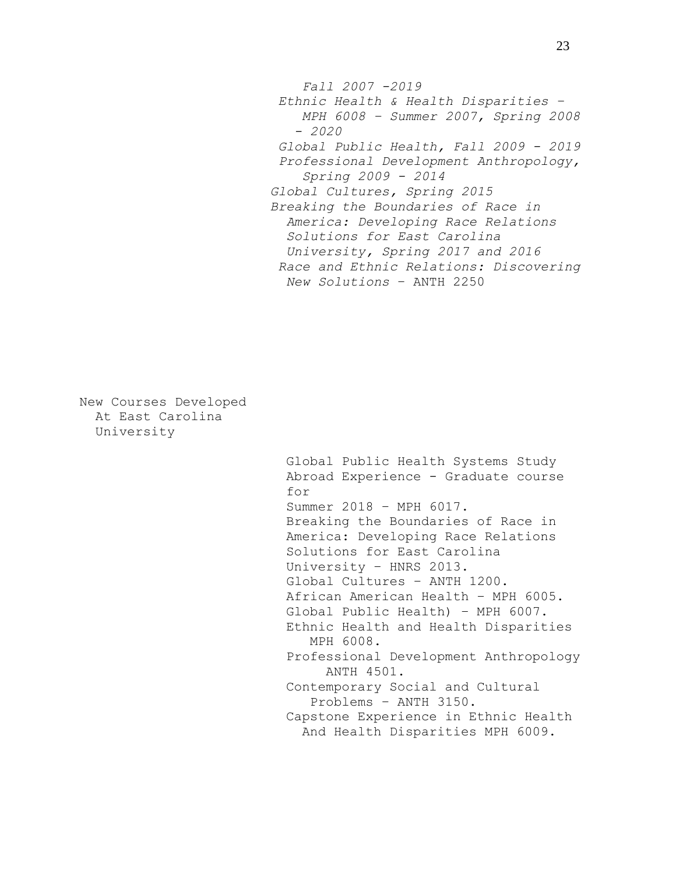*Fall 2007 -2019 Ethnic Health & Health Disparities – MPH 6008 – Summer 2007, Spring 2008 - 2020 Global Public Health, Fall 2009 - 2019 Professional Development Anthropology, Spring 2009 - 2014 Global Cultures, Spring 2015 Breaking the Boundaries of Race in America: Developing Race Relations Solutions for East Carolina University, Spring 2017 and 2016 Race and Ethnic Relations: Discovering New Solutions* – ANTH 2250

New Courses Developed At East Carolina University

 Global Public Health Systems Study Abroad Experience - Graduate course for Summer 2018 – MPH 6017. Breaking the Boundaries of Race in America: Developing Race Relations Solutions for East Carolina University – HNRS 2013. Global Cultures – ANTH 1200. African American Health – MPH 6005. Global Public Health) – MPH 6007. Ethnic Health and Health Disparities MPH 6008. Professional Development Anthropology ANTH 4501. Contemporary Social and Cultural Problems – ANTH 3150. Capstone Experience in Ethnic Health And Health Disparities MPH 6009.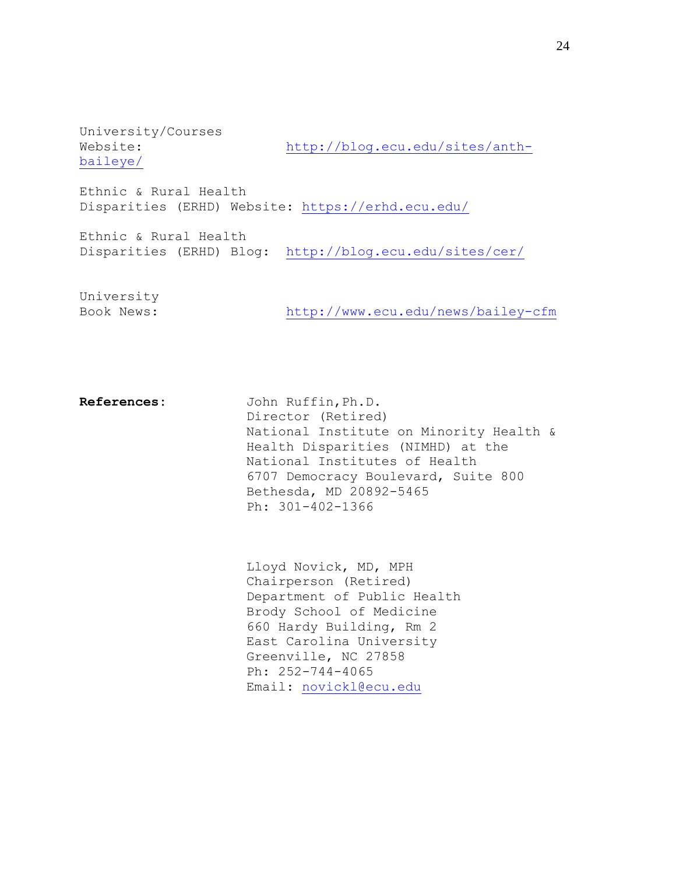University/Courses [baileye/](http://blog.ecu.edu/sites/anth-baileye/)

Website: [http://blog.ecu.edu/sites/anth-](http://blog.ecu.edu/sites/anth-baileye/)

Ethnic & Rural Health Disparities (ERHD) Website:<https://erhd.ecu.edu/>

Ethnic & Rural Health Disparities (ERHD) Blog: <http://blog.ecu.edu/sites/cer/>

University

Book News: <http://www.ecu.edu/news/bailey-cfm>

**References:** John Ruffin,Ph.D. Director (Retired) National Institute on Minority Health & Health Disparities (NIMHD) at the National Institutes of Health 6707 Democracy Boulevard, Suite 800 Bethesda, MD 20892-5465 Ph: 301-402-1366

> Lloyd Novick, MD, MPH Chairperson (Retired) Department of Public Health Brody School of Medicine 660 Hardy Building, Rm 2 East Carolina University Greenville, NC 27858 Ph: 252-744-4065 Email: [novickl@ecu.edu](mailto:novickl@ecu.edu)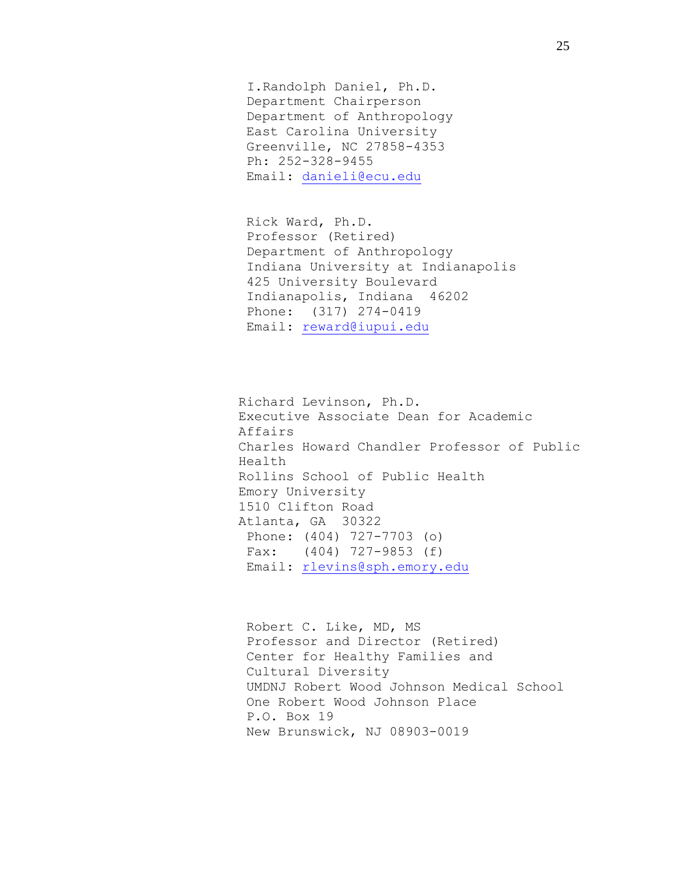I.Randolph Daniel, Ph.D. Department Chairperson Department of Anthropology East Carolina University Greenville, NC 27858-4353 Ph: 252-328-9455 Email: [danieli@ecu.edu](mailto:danieli@ecu.edu)

Rick Ward, Ph.D. Professor (Retired) Department of Anthropology Indiana University at Indianapolis 425 University Boulevard Indianapolis, Indiana 46202 Phone: (317) 274-0419 Email: [reward@iupui.edu](mailto:reward@iupui.edu)

 Richard Levinson, Ph.D. Executive Associate Dean for Academic Affairs Charles Howard Chandler Professor of Public Health Rollins School of Public Health Emory University 1510 Clifton Road Atlanta, GA 30322 Phone: (404) 727-7703 (o) Fax: (404) 727-9853 (f) Email: [rlevins@sph.emory.edu](mailto:rlevins@sph.emory.edu)

 Robert C. Like, MD, MS Professor and Director (Retired) Center for Healthy Families and Cultural Diversity UMDNJ Robert Wood Johnson Medical School One Robert Wood Johnson Place P.O. Box 19 New Brunswick, NJ 08903-0019